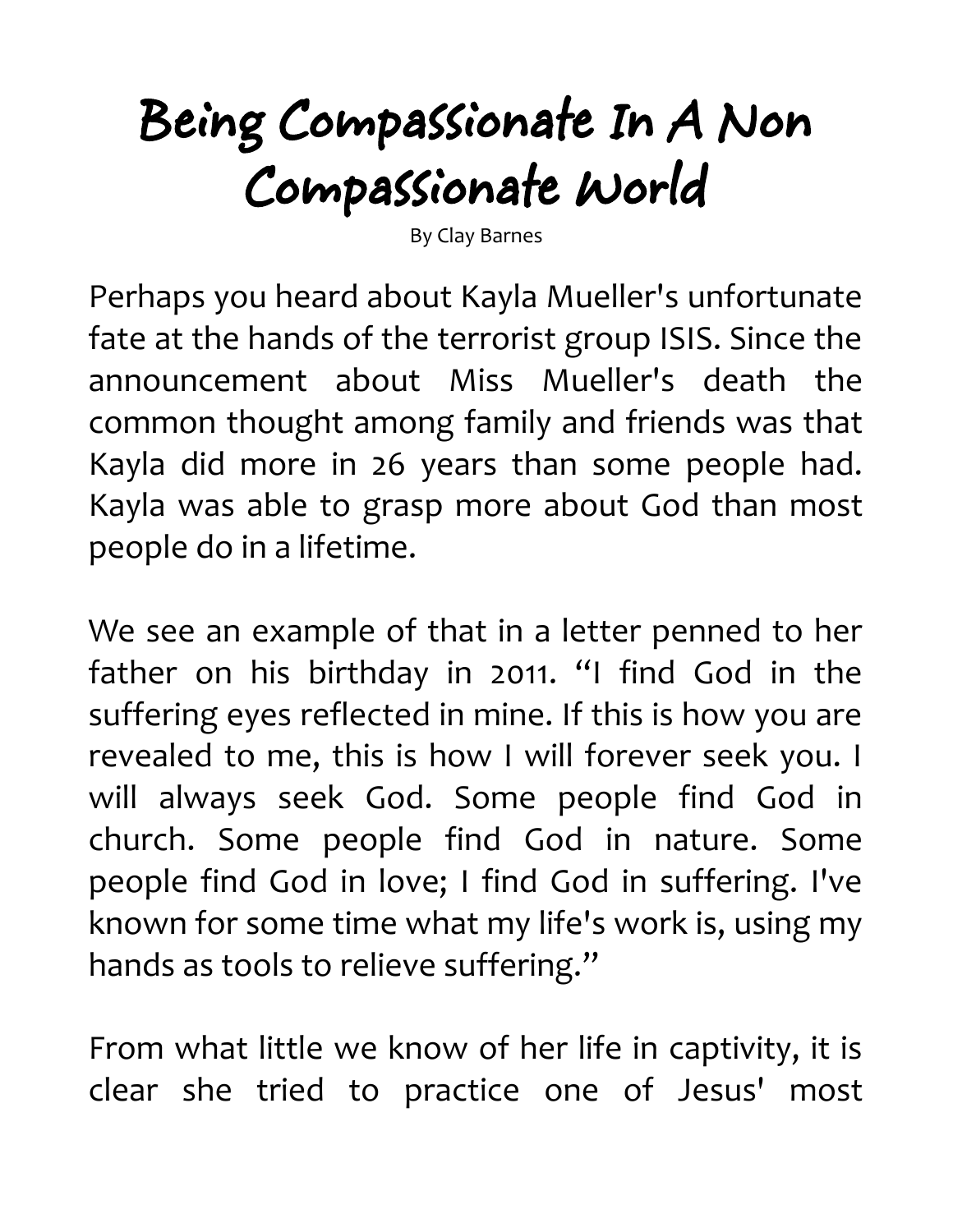## **Being Compassionate In A Non Compassionate World**

By Clay Barnes

Perhaps you heard about Kayla Mueller's unfortunate fate at the hands of the terrorist group ISIS. Since the announcement about Miss Mueller's death the common thought among family and friends was that Kayla did more in 26 years than some people had. Kayla was able to grasp more about God than most people do in a lifetime.

We see an example of that in a letter penned to her father on his birthday in 2011. "I find God in the suffering eyes reflected in mine. If this is how you are revealed to me, this is how I will forever seek you. I will always seek God. Some people find God in church. Some people find God in nature. Some people find God in love; I find God in suffering. I've known for some time what my life's work is, using my hands as tools to relieve suffering."

From what little we know of her life in captivity, it is clear she tried to practice one of Jesus' most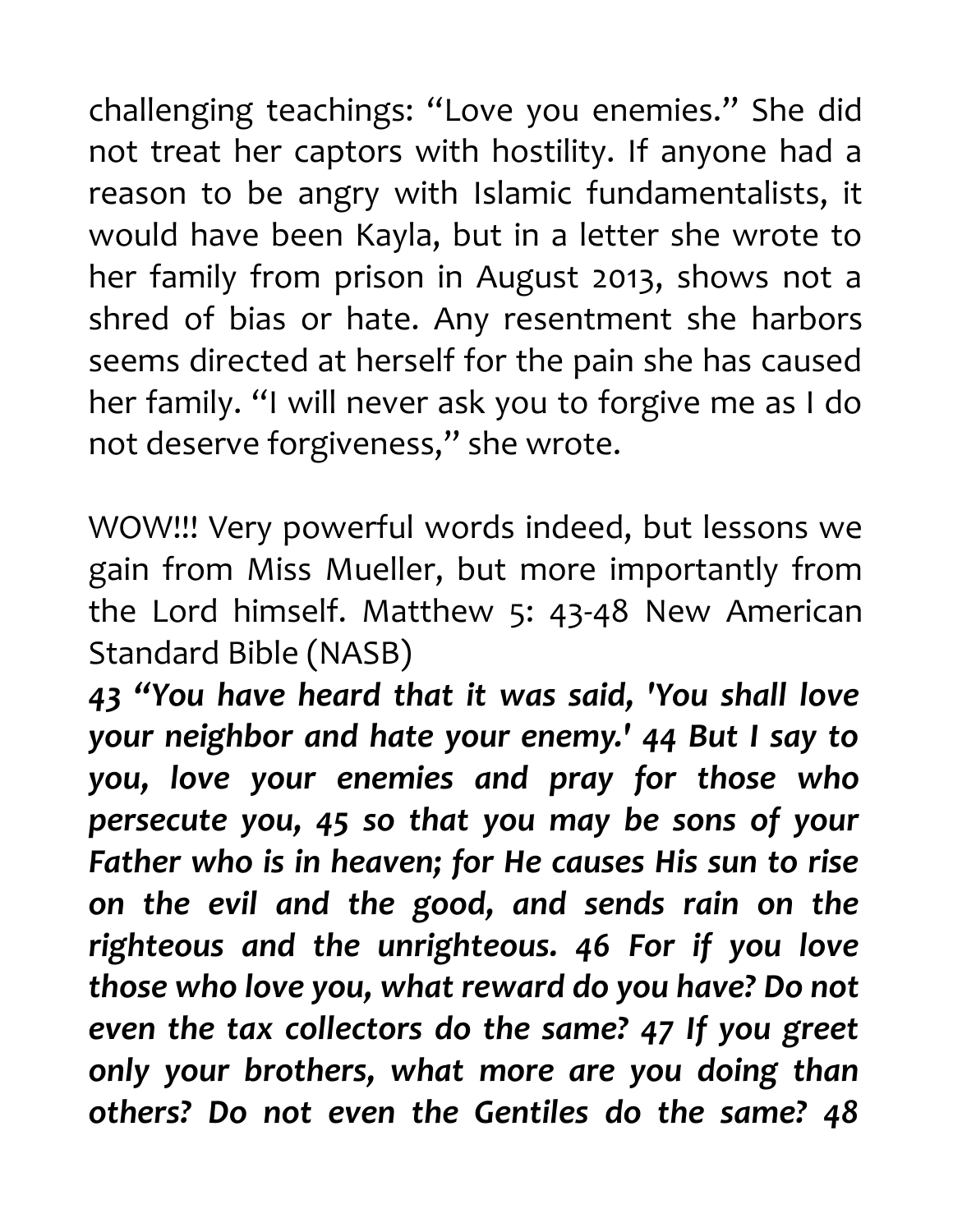challenging teachings: "Love you enemies." She did not treat her captors with hostility. If anyone had a reason to be angry with Islamic fundamentalists, it would have been Kayla, but in a letter she wrote to her family from prison in August 2013, shows not a shred of bias or hate. Any resentment she harbors seems directed at herself for the pain she has caused her family. "I will never ask you to forgive me as I do not deserve forgiveness," she wrote.

WOW!!! Very powerful words indeed, but lessons we gain from Miss Mueller, but more importantly from the Lord himself. Matthew 5: 43-48 New American Standard Bible (NASB)

*43 "You have heard that it was said, 'You shall love your neighbor and hate your enemy.' 44 But I say to you, love your enemies and pray for those who persecute you, 45 so that you may be sons of your Father who is in heaven; for He causes His sun to rise on the evil and the good, and sends rain on the righteous and the unrighteous. 46 For if you love those who love you, what reward do you have? Do not even the tax collectors do the same? 47 If you greet only your brothers, what more are you doing than others? Do not even the Gentiles do the same? 48*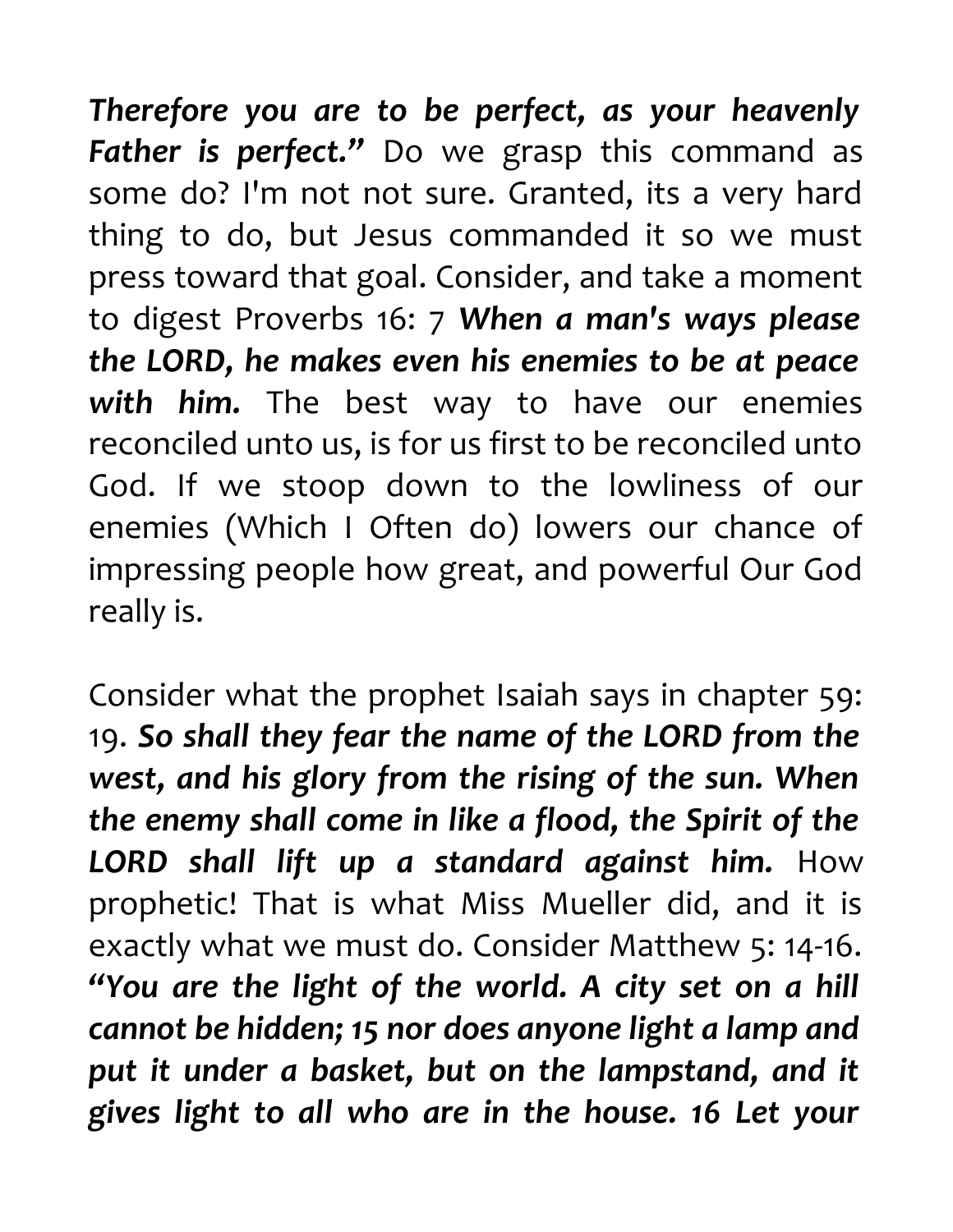*Therefore you are to be perfect, as your heavenly* Father is perfect." Do we grasp this command as some do? I'm not not sure. Granted, its a very hard thing to do, but Jesus commanded it so we must press toward that goal. Consider, and take a moment to digest Proverbs 16: 7 *When a man's ways please the LORD, he makes even his enemies to be at peace with him.* The best way to have our enemies reconciled unto us, is for us first to be reconciled unto God. If we stoop down to the lowliness of our enemies (Which I Often do) lowers our chance of impressing people how great, and powerful Our God really is.

Consider what the prophet Isaiah says in chapter 59: 19. *So shall they fear the name of the LORD from the west, and his glory from the rising of the sun. When the enemy shall come in like a flood, the Spirit of the LORD shall lift up a standard against him.* How prophetic! That is what Miss Mueller did, and it is exactly what we must do. Consider Matthew 5: 14-16. *"You are the light of the world. A city set on a hill cannot be hidden; 15 nor does anyone light a lamp and put it under a basket, but on the lampstand, and it gives light to all who are in the house. 16 Let your*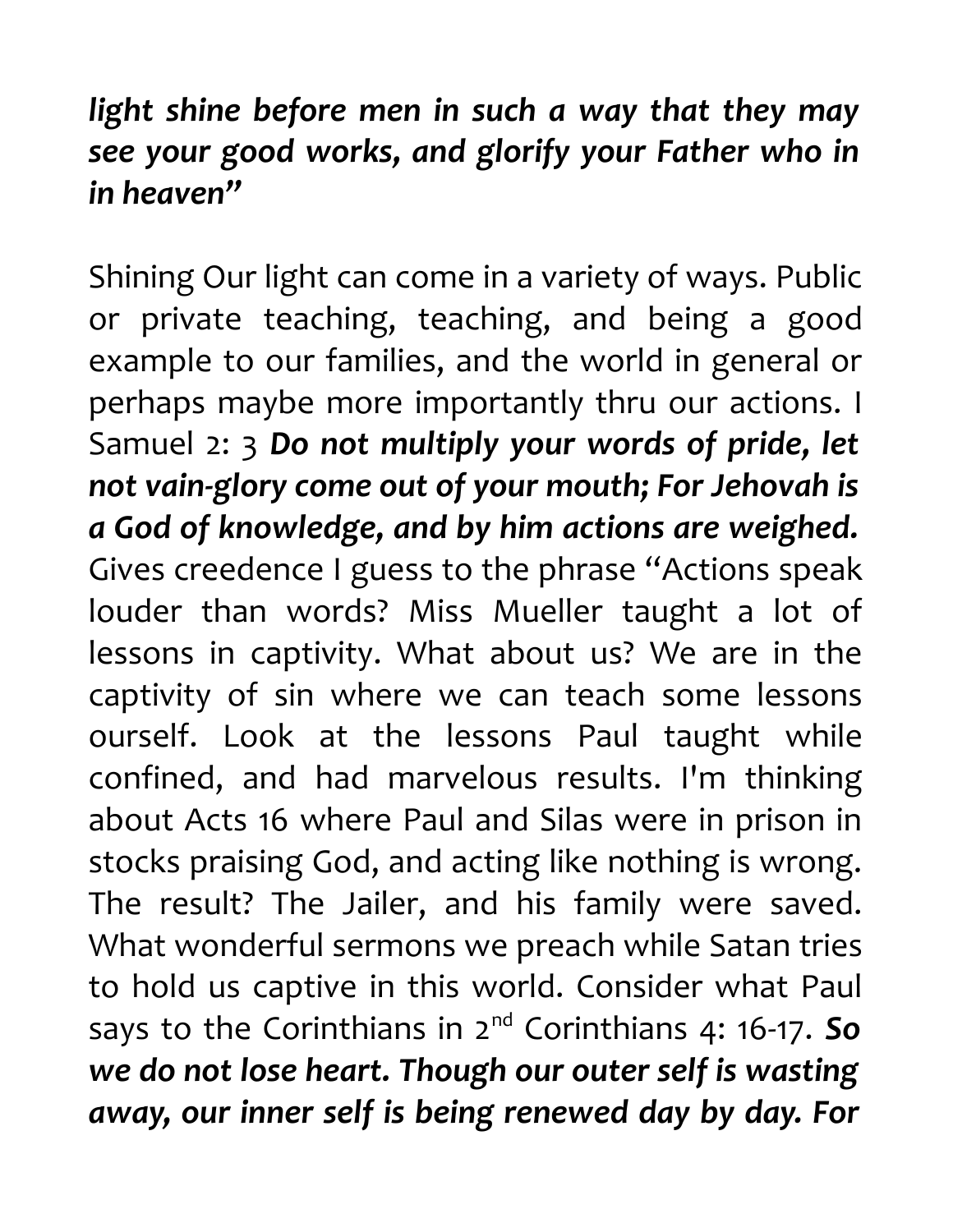## *light shine before men in such a way that they may see your good works, and glorify your Father who in in heaven"*

Shining Our light can come in a variety of ways. Public or private teaching, teaching, and being a good example to our families, and the world in general or perhaps maybe more importantly thru our actions. I Samuel 2: 3 *Do not multiply your words of pride, let not vain-glory come out of your mouth; For Jehovah is a God of knowledge, and by him actions are weighed.* Gives creedence I guess to the phrase "Actions speak louder than words? Miss Mueller taught a lot of lessons in captivity. What about us? We are in the captivity of sin where we can teach some lessons ourself. Look at the lessons Paul taught while confined, and had marvelous results. I'm thinking about Acts 16 where Paul and Silas were in prison in stocks praising God, and acting like nothing is wrong. The result? The Jailer, and his family were saved. What wonderful sermons we preach while Satan tries to hold us captive in this world. Consider what Paul says to the Corinthians in 2nd Corinthians 4: 16-17. *So we do not lose heart. Though our outer self is wasting away, our inner self is being renewed day by day. For*